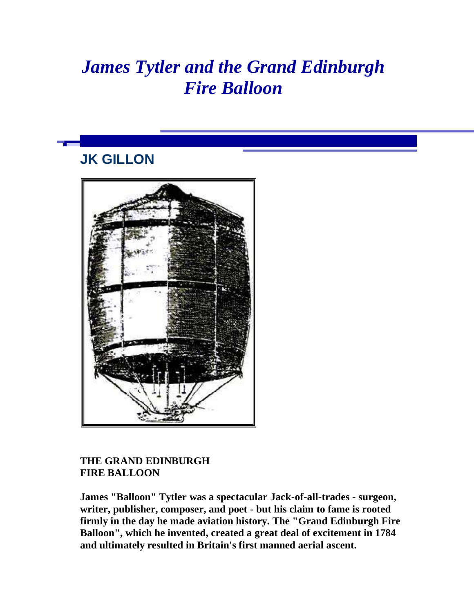## *James Tytler and the Grand Edinburgh Fire Balloon*

## **JK GILLON**



## **THE GRAND EDINBURGH FIRE BALLOON**

**James "Balloon" Tytler was a spectacular Jack-of-all-trades - surgeon, writer, publisher, composer, and poet - but his claim to fame is rooted firmly in the day he made aviation history. The "Grand Edinburgh Fire Balloon", which he invented, created a great deal of excitement in 1784 and ultimately resulted in Britain's first manned aerial ascent.**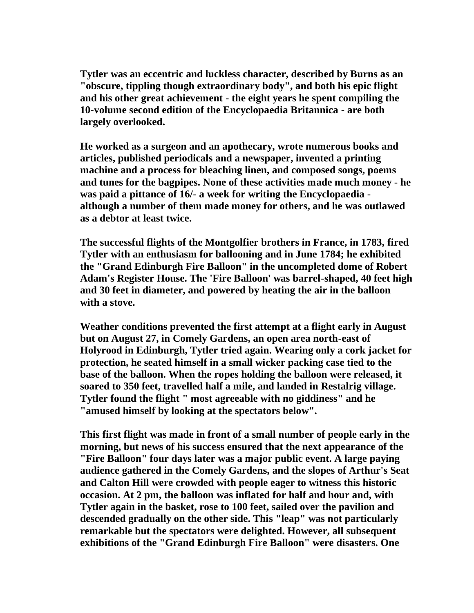**Tytler was an eccentric and luckless character, described by Burns as an "obscure, tippling though extraordinary body", and both his epic flight and his other great achievement - the eight years he spent compiling the 10-volume second edition of the Encyclopaedia Britannica - are both largely overlooked.** 

**He worked as a surgeon and an apothecary, wrote numerous books and articles, published periodicals and a newspaper, invented a printing machine and a process for bleaching linen, and composed songs, poems and tunes for the bagpipes. None of these activities made much money - he was paid a pittance of 16/- a week for writing the Encyclopaedia although a number of them made money for others, and he was outlawed as a debtor at least twice.** 

**The successful flights of the Montgolfier brothers in France, in 1783, fired Tytler with an enthusiasm for ballooning and in June 1784; he exhibited the "Grand Edinburgh Fire Balloon" in the uncompleted dome of Robert Adam's Register House. The 'Fire Balloon' was barrel-shaped, 40 feet high and 30 feet in diameter, and powered by heating the air in the balloon with a stove.** 

**Weather conditions prevented the first attempt at a flight early in August but on August 27, in Comely Gardens, an open area north-east of Holyrood in Edinburgh, Tytler tried again. Wearing only a cork jacket for protection, he seated himself in a small wicker packing case tied to the base of the balloon. When the ropes holding the balloon were released, it soared to 350 feet, travelled half a mile, and landed in Restalrig village. Tytler found the flight " most agreeable with no giddiness" and he "amused himself by looking at the spectators below".** 

**This first flight was made in front of a small number of people early in the morning, but news of his success ensured that the next appearance of the "Fire Balloon" four days later was a major public event. A large paying audience gathered in the Comely Gardens, and the slopes of Arthur's Seat and Calton Hill were crowded with people eager to witness this historic occasion. At 2 pm, the balloon was inflated for half and hour and, with Tytler again in the basket, rose to 100 feet, sailed over the pavilion and descended gradually on the other side. This "leap" was not particularly remarkable but the spectators were delighted. However, all subsequent exhibitions of the "Grand Edinburgh Fire Balloon" were disasters. One**